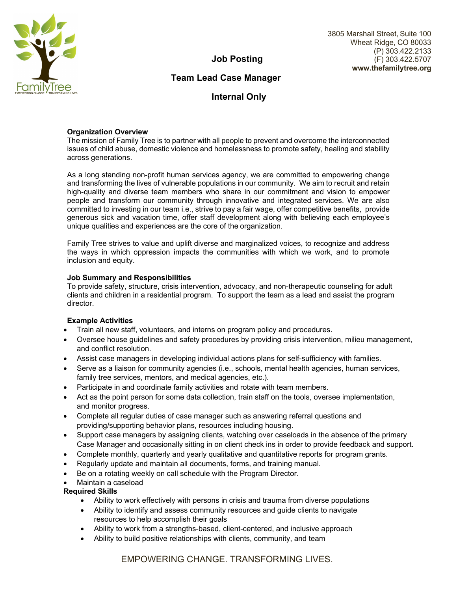

3805 Marshall Street, Suite 100 Wheat Ridge, CO 80033 (P) 303.422.2133 (F) 303.422.5707 **www.thefamilytree.org**

**Job Posting** 

# **Team Lead Case Manager**

**Internal Only** 

## **Organization Overview**

The mission of Family Tree is to partner with all people to prevent and overcome the interconnected issues of child abuse, domestic violence and homelessness to promote safety, healing and stability across generations.

As a long standing non-profit human services agency, we are committed to empowering change and transforming the lives of vulnerable populations in our community. We aim to recruit and retain high-quality and diverse team members who share in our commitment and vision to empower people and transform our community through innovative and integrated services. We are also committed to investing in our team i.e., strive to pay a fair wage, offer competitive benefits, provide generous sick and vacation time, offer staff development along with believing each employee's unique qualities and experiences are the core of the organization.

Family Tree strives to value and uplift diverse and marginalized voices, to recognize and address the ways in which oppression impacts the communities with which we work, and to promote inclusion and equity.

## **Job Summary and Responsibilities**

To provide safety, structure, crisis intervention, advocacy, and non-therapeutic counseling for adult clients and children in a residential program. To support the team as a lead and assist the program director.

# **Example Activities**

- Train all new staff, volunteers, and interns on program policy and procedures.
- Oversee house guidelines and safety procedures by providing crisis intervention, milieu management, and conflict resolution.
- Assist case managers in developing individual actions plans for self-sufficiency with families.
- Serve as a liaison for community agencies (i.e., schools, mental health agencies, human services, family tree services, mentors, and medical agencies, etc.).
- Participate in and coordinate family activities and rotate with team members.
- Act as the point person for some data collection, train staff on the tools, oversee implementation, and monitor progress.
- Complete all regular duties of case manager such as answering referral questions and providing/supporting behavior plans, resources including housing.
- Support case managers by assigning clients, watching over caseloads in the absence of the primary Case Manager and occasionally sitting in on client check ins in order to provide feedback and support.
- Complete monthly, quarterly and yearly qualitative and quantitative reports for program grants.
- Regularly update and maintain all documents, forms, and training manual.
- Be on a rotating weekly on call schedule with the Program Director.
- Maintain a caseload

# **Required Skills**

- Ability to work effectively with persons in crisis and trauma from diverse populations
- Ability to identify and assess community resources and guide clients to navigate resources to help accomplish their goals
- Ability to work from a strengths-based, client-centered, and inclusive approach
- Ability to build positive relationships with clients, community, and team